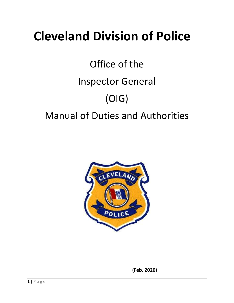# **Cleveland Division of Police**

# Office of the Inspector General (OIG) Manual of Duties and Authorities



 **(Feb. 2020)**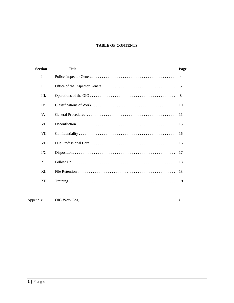#### **TABLE OF CONTENTS**

| <b>Section</b> | <b>Title</b> | Page           |
|----------------|--------------|----------------|
| L.             |              | $\overline{4}$ |
| II.            |              | 5              |
| Ш.             |              | 8              |
| IV.            |              | 10             |
| V.             |              | 11             |
| VI.            |              | -15            |
| VII.           |              | 16             |
| VIII.          |              | 16             |
| IX.            |              | 17             |
| X.             |              | 18             |
| XI.            |              | 18             |
| XII.           |              | 19             |
|                |              |                |
| Appendix.      |              |                |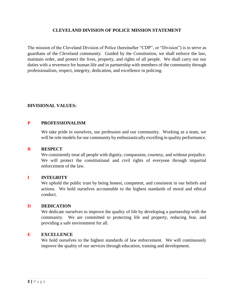#### **CLEVELAND DIVISION OF POLICE MISSION STATEMENT**

The mission of the Cleveland Division of Police (hereinafter "CDP", or "Division") is to serve as guardians of the Cleveland community. Guided by the Constitution, we shall enforce the law, maintain order, and protect the lives, property, and rights of all people. We shall carry out our duties with a reverence for human life and in partnership with members of the community through professionalism, respect, integrity, dedication, and excellence in policing.

#### **DIVISIONAL VALUES:**

#### **P PROFESSIONALISM**

We take pride in ourselves, our profession and our community. Working as a team, we will be role models for our community by enthusiastically excelling in quality performance.

#### **R RESPECT**

We consistently treat all people with dignity, compassion, courtesy, and without prejudice. We will protect the constitutional and civil rights of everyone through impartial enforcement of the law.

#### **I INTEGRITY**

We uphold the public trust by being honest, competent, and consistent in our beliefs and actions. We hold ourselves accountable to the highest standards of moral and ethical conduct.

#### **D DEDICATION**

We dedicate ourselves to improve the quality of life by developing a partnership with the community. We are committed to protecting life and property, reducing fear, and providing a safe environment for all.

#### **E EXCELLENCE**

We hold ourselves to the highest standards of law enforcement. We will continuously improve the quality of our services through education, training and development.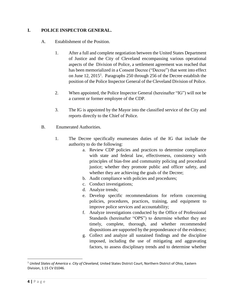## **I. POLICE INSPECTOR GENERAL.**

- A. Establishment of the Position.
	- 1. After a full and complete negotiation between the United States Department of Justice and the City of Cleveland encompassing various operational aspects of the Division of Police, a settlement agreement was reached that has been memorialized in a Consent Decree ("Decree") that went into effect on June 12, 2015<sup>1</sup>. Paragraphs 250 through 256 of the Decree establish the position of the Police Inspector General of the Cleveland Division of Police.
	- 2. When appointed, the Police Inspector General (hereinafter "IG") will not be a current or former employee of the CDP.
	- 3. The IG is appointed by the Mayor into the classified service of the City and reports directly to the Chief of Police.
- B. Enumerated Authorities.
	- 1. The Decree specifically enumerates duties of the IG that include the authority to do the following:
		- a. Review CDP policies and practices to determine compliance with state and federal law, effectiveness, consistency with principles of bias-free and community policing and procedural justice; whether they promote public and officer safety, and whether they are achieving the goals of the Decree;
		- b. Audit compliance with policies and procedures;
		- c. Conduct investigations;
		- d. Analyze trends;
		- e. Develop specific recommendations for reform concerning policies, procedures, practices, training, and equipment to improve police services and accountability;
		- f. Analyze investigations conducted by the Office of Professional Standards (hereinafter "OPS") to determine whether they are timely, complete, thorough, and whether recommended dispositions are supported by the preponderance of the evidence;
		- g. Collect and analyze all sustained findings and the discipline imposed, including the use of mitigating and aggravating factors, to assess disciplinary trends and to determine whether

 $\overline{\phantom{a}}$ 

<sup>1</sup> *United States of America v. City of Cleveland*, United States District Court, Northern District of Ohio, Eastern Division, 1:15 CV 01046.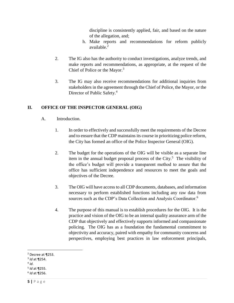discipline is consistently applied, fair, and based on the nature of the allegation, and;

- h. Make reports and recommendations for reform publicly available. $2$
- 2. The IG also has the authority to conduct investigations, analyze trends, and make reports and recommendations, as appropriate, at the request of the Chief of Police or the Mayor.<sup>3</sup>
- 3. The IG may also receive recommendations for additional inquiries from stakeholders in the agreement through the Chief of Police, the Mayor, or the Director of Public Safety.<sup>4</sup>

# **II. OFFICE OF THE INSPECTOR GENERAL (OIG)**

- A. Introduction.
	- 1. In order to effectively and successfully meet the requirements of the Decree and to ensure that the CDP maintains its course in prioritizing police reform, the City has formed an office of the Police Inspector General (OIG).
	- 2. The budget for the operations of the OIG will be visible as a separate line item in the annual budget proposal process of the City. $5$  The visibility of the office's budget will provide a transparent method to assure that the office has sufficient independence and resources to meet the goals and objectives of the Decree.
	- 3. The OIG will have access to all CDP documents, databases, and information necessary to perform established functions including any raw data from sources such as the CDP's Data Collection and Analysis Coordinator.<sup>6</sup>
	- 4. The purpose of this manual is to establish procedures for the OIG. It is the practice and vision of the OIG to be an internal quality assurance arm of the CDP that objectively and effectively supports informed and compassionate policing. The OIG has as a foundation the fundamental commitment to objectivity and accuracy, paired with empathy for community concerns and perspectives, employing best practices in law enforcement principals,

l

<sup>2</sup> Decree at ¶253.

<sup>3</sup> *Id* at ¶254.

<sup>4</sup> *Id*.

<sup>5</sup> *Id* at ¶255.

<sup>6</sup> *Id* at ¶256.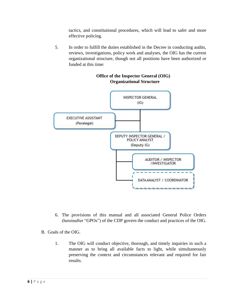tactics, and constitutional procedures, which will lead to safer and more effective policing.

5. In order to fulfill the duties established in the Decree in conducting audits, reviews, investigations, policy work and analyses, the OIG has the current organizational structure, though not all positions have been authorized or funded at this time:



#### **Office of the Inspector General (OIG) Organizational Structure**

- 6. The provisions of this manual and all associated General Police Orders (hereinafter "GPOs") of the CDP govern the conduct and practices of the OIG.
- B. Goals of the OIG.
	- 1. The OIG will conduct objective, thorough, and timely inquiries in such a manner as to bring all available facts to light, while simultaneously preserving the context and circumstances relevant and required for fair results.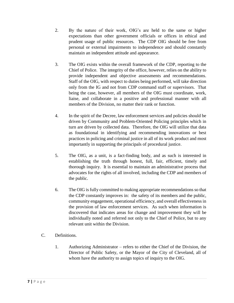- 2. By the nature of their work, OIG's are held to the same or higher expectations than other government officials or offices in ethical and prudent usage of public resources. The CDP OIG should be free from personal or external impairments to independence and should constantly maintain an independent attitude and appearance.
- 3. The OIG exists within the overall framework of the CDP, reporting to the Chief of Police. The integrity of the office, however, relies on the ability to provide independent and objective assessments and recommendations. Staff of the OIG, with respect to duties being performed, will take direction only from the IG and not from CDP command staff or supervisors. That being the case, however, all members of the OIG must coordinate, work, liaise, and collaborate in a positive and professional manner with all members of the Division, no matter their rank or function.
- 4. In the spirit of the Decree, law enforcement services and policies should be driven by Community and Problem-Oriented Policing principles which in turn are driven by collected data. Therefore, the OIG will utilize that data as foundational in identifying and recommending innovations or best practices in policing and criminal justice in all of its work product and most importantly in supporting the principals of procedural justice.
- 5. The OIG, as a unit, is a fact-finding body, and as such is interested in establishing the truth through honest, full, fair, efficient, timely and thorough inquiry. It is essential to maintain an administrative process that advocates for the rights of all involved, including the CDP and members of the public.
- 6. The OIG is fully committed to making appropriate recommendations so that the CDP constantly improves in: the safety of its members and the public, community engagement, operational efficiency, and overall effectiveness in the provision of law enforcement services. As such when information is discovered that indicates areas for change and improvement they will be individually noted and referred not only to the Chief of Police, but to any relevant unit within the Division.
- C. Definitions.
	- 1. Authorizing Administrator refers to either the Chief of the Division, the Director of Public Safety, or the Mayor of the City of Cleveland, all of whom have the authority to assign topics of inquiry to the OIG.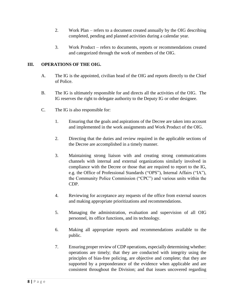- 2. Work Plan refers to a document created annually by the OIG describing completed, pending and planned activities during a calendar year.
- 3. Work Product refers to documents, reports or recommendations created and categorized through the work of members of the OIG.

## **III. OPERATIONS OF THE OIG.**

- A. The IG is the appointed, civilian head of the OIG and reports directly to the Chief of Police.
- B. The IG is ultimately responsible for and directs all the activities of the OIG. The IG reserves the right to delegate authority to the Deputy IG or other designee.
- C. The IG is also responsible for:
	- 1. Ensuring that the goals and aspirations of the Decree are taken into account and implemented in the work assignments and Work Product of the OIG.
	- 2. Directing that the duties and review required in the applicable sections of the Decree are accomplished in a timely manner.
	- 3. Maintaining strong liaison with and creating strong communications channels with internal and external organizations similarly involved in compliance with the Decree or those that are required to report to the IG, e.g. the Office of Professional Standards ("OPS"), Internal Affairs ("IA"), the Community Police Commission ("CPC") and various units within the CDP.
	- 4. Reviewing for acceptance any requests of the office from external sources and making appropriate prioritizations and recommendations.
	- 5. Managing the administration, evaluation and supervision of all OIG personnel, its office functions, and its technology.
	- 6. Making all appropriate reports and recommendations available to the public.
	- 7. Ensuring proper review of CDP operations, especially determining whether: operations are timely; that they are conducted with integrity using the principles of bias-free policing, are objective and complete; that they are supported by a preponderance of the evidence when applicable and are consistent throughout the Division; and that issues uncovered regarding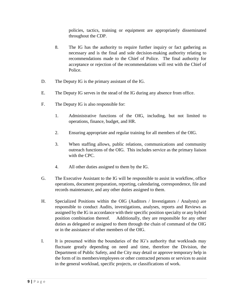policies, tactics, training or equipment are appropriately disseminated throughout the CDP.

- 8. The IG has the authority to require further inquiry or fact gathering as necessary and is the final and sole decision-making authority relating to recommendations made to the Chief of Police. The final authority for acceptance or rejection of the recommendations will rest with the Chief of Police.
- D. The Deputy IG is the primary assistant of the IG.
- E. The Deputy IG serves in the stead of the IG during any absence from office.
- F. The Deputy IG is also responsible for:
	- 1. Administrative functions of the OIG, including, but not limited to operations, finance, budget, and HR.
	- 2. Ensuring appropriate and regular training for all members of the OIG.
	- 3. When staffing allows, public relations, communications and community outreach functions of the OIG. This includes service as the primary liaison with the CPC.
	- 4. All other duties assigned to them by the IG.
- G. The Executive Assistant to the IG will be responsible to assist in workflow, office operations, document preparation, reporting, calendaring, correspondence, file and records maintenance, and any other duties assigned to them.
- H. Specialized Positions within the OIG (Auditors / Investigators / Analysts) are responsible to conduct Audits, investigations, analyses, reports and Reviews as assigned by the IG in accordance with their specific position specialty or any hybrid position combination thereof. Additionally, they are responsible for any other duties as delegated or assigned to them through the chain of command of the OIG or in the assistance of other members of the OIG.
- I. It is presumed within the boundaries of the IG's authority that workloads may fluctuate greatly depending on need and time, therefore the Division, the Department of Public Safety, and the City may detail or approve temporary help in the form of its members/employees or other contracted persons or services to assist in the general workload, specific projects, or classifications of work.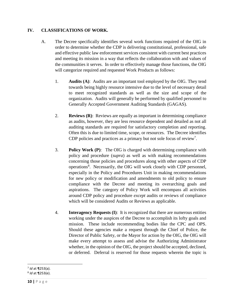## **IV. CLASSIFICATIONS OF WORK.**

- A. The Decree specifically identifies several work functions required of the OIG in order to determine whether the CDP is delivering constitutional, professional, safe and effective public law enforcement services consistent with current best practices and meeting its mission in a way that reflects the collaboration with and values of the communities it serves. In order to effectively manage those functions, the OIG will categorize required and requested Work Products as follows:
	- 1. **Audits (A)**: Audits are an important tool employed by the OIG. They tend towards being highly resource intensive due to the level of necessary detail to meet recognized standards as well as the size and scope of the organization. Audits will generally be performed by qualified personnel to Generally Accepted Government Auditing Standards (GAGAS).
	- 2. **Reviews (R)**: Reviews are equally as important in determining compliance as audits, however, they are less resource dependent and detailed as not all auditing standards are required for satisfactory completion and reporting. Often this is due to limited time, scope, or resources. The Decree identifies CDP policies and practices as a primary but not sole focus of review<sup>7</sup>.
	- 3. **Policy Work (P)**: The OIG is charged with determining compliance with policy and procedure (*supra*) as well as with making recommendations concerning those policies and procedures along with other aspects of CDP operations<sup>8</sup>. Necessarily, the OIG will work closely with CDP personnel, especially in the Policy and Procedures Unit in making recommendations for new policy or modification and amendments to old policy to ensure compliance with the Decree and meeting its overarching goals and aspirations. The category of Policy Work will encompass all activities around CDP policy and procedure *except* audits or reviews of compliance which will be considered Audits or Reviews as applicable.
	- 4. **Interagency Requests (I)**: It is recognized that there are numerous entities working under the auspices of the Decree to accomplish its lofty goals and mission. These include recommending bodies like the CPC and OPS. Should these agencies make a request through the Chief of Police, the Director of Public Safety, or the Mayor for action by the OIG, the OIG will make every attempt to assess and advise the Authorizing Administrator whether, in the opinion of the OIG, the project should be accepted, declined, or deferred. Deferral is reserved for those requests wherein the topic is

l 7 *Id* at ¶253(a).

<sup>8</sup> *Id* at ¶253(e).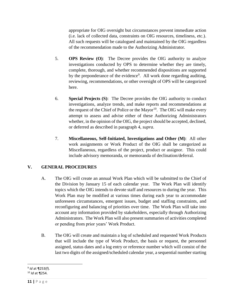appropriate for OIG oversight but circumstances prevent immediate action (i.e. lack of collected data, constraints on OIG resources, timeliness, etc.). All such requests will be catalogued and maintained by the OIG regardless of the recommendation made to the Authorizing Administrator.

- 5. **OPS Review (O)**: The Decree provides the OIG authority to analyze investigations conducted by OPS to determine whether they are timely, complete, thorough, and whether recommended dispositions are supported by the preponderance of the evidence<sup>9</sup>. All work done regarding auditing, reviewing, recommendations, or other oversight of OPS will be categorized here.
- 6. **Special Projects (S)**: The Decree provides the OIG authority to conduct investigations, analyze trends, and make reports and recommendations at the request of the Chief of Police or the Mayor $10$ . The OIG will make every attempt to assess and advise either of these Authorizing Administrators whether, in the opinion of the OIG, the project should be accepted, declined, or deferred as described in paragraph 4, *supra*.
- 7. **Miscellaneous, Self-Initiated, Investigations and Other (M)**: All other work assignments or Work Product of the OIG shall be categorized as Miscellaneous, regardless of the project, product or assignor. This could include advisory memoranda, or memoranda of declination/deferral.

# **V. GENERAL PROCEDURES**

- A. The OIG will create an annual Work Plan which will be submitted to the Chief of the Division by January 15 of each calendar year. The Work Plan will identify topics which the OIG intends to devote staff and resources to during the year. This Work Plan may be modified at various times during each year to accommodate unforeseen circumstances, emergent issues, budget and staffing constraints, and reconfiguring and balancing of priorities over time. The Work Plan will take into account any information provided by stakeholders, especially through Authorizing Administrators. The Work Plan will also present summaries of activities completed or pending from prior years' Work Product.
- B. The OIG will create and maintain a log of scheduled and requested Work Products that will include the type of Work Product, the basis or request, the personnel assigned, status dates and a log entry or reference number which will consist of the last two digits of the assigned/scheduled calendar year, a sequential number starting

l 9 *Id* at ¶253(f).

<sup>10</sup> *Id* at ¶254.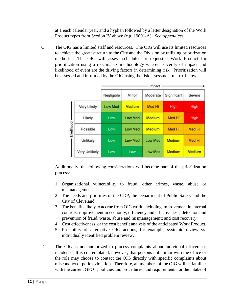at 1 each calendar year, and a hyphen followed by a letter designation of the Work Product types from Section IV above (e.g. 19001-A). *See Appendices*.

C. The OIG has a limited staff and resources. The OIG will use its limited resources to achieve the greatest return to the City and the Division by utilizing prioritization methods. The OIG will assess scheduled or requested Work Product for prioritization using a risk matrix methodology wherein severity of impact and likelihood of event are the driving factors in determining risk. Prioritization will be assessed and informed by the OIG using the risk assessment matrix below:

|            |               | Impact     |                |               |             |        |  |
|------------|---------------|------------|----------------|---------------|-------------|--------|--|
|            |               | Negligible | Minor          | Moderate      | Significant | Severe |  |
| Likelihood | Very Likely   | Low Med    | Medium         | Med Hi        | High        | High   |  |
|            | Likely        | Low        | <b>Low Med</b> | <b>Medium</b> | Med Hi      | High   |  |
|            | Possible      | Low        | <b>Low Med</b> | <b>Medium</b> | Med Hi      | Med Hi |  |
|            | Unlikely      | Low.       | Low Med        | Low Med       | Medium      | Med Hi |  |
|            | Very Unlikely | Low        | Low            | Low Med       | Medium      | Medium |  |

Additionally, the following considerations will become part of the prioritization process:

- 1. Organizational vulnerability to fraud, other crimes, waste, abuse or mismanagement.
- 2. The needs and priorities of the CDP, the Department of Public Safety and the City of Cleveland.
- 3. The benefits likely to accrue from OIG work, including improvement in internal controls; improvement in economy, efficiency and effectiveness; detection and prevention of fraud, waste, abuse and mismanagement; and cost recovery.
- 4. Cost effectiveness, or the cost benefit analysis of the anticipated Work Product.
- 5. Possibility of alternative OIG actions, for example, systemic review vs. individually identified problem review.
- D. The OIG is not authorized to process complaints about individual officers or incidents. It is contemplated, however, that persons unfamiliar with the office or the role may choose to contact the OIG directly with specific complaints about misconduct or policy violation. Therefore, all members of the OIG will be familiar with the current GPO's, policies and procedures, and requirements for the intake of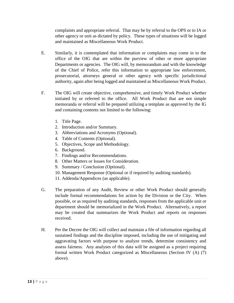complaints and appropriate referral. That may be by referral to the OPS or to IA or other agency or unit as dictated by policy. These types of situations will be logged and maintained as Miscellaneous Work Product.

- E. Similarly, it is contemplated that information or complaints may come in to the office of the OIG that are within the purview of other or more appropriate Departments or agencies. The OIG will, by memorandum and with the knowledge of the Chief of Police, refer this information to appropriate law enforcement, prosecutorial, attorneys general or other agency with specific jurisdictional authority, again after being logged and maintained as Miscellaneous Work Product.
- F. The OIG will create objective, comprehensive, and timely Work Product whether initiated by or referred to the office. All Work Product that are not simple memoranda or referral will be prepared utilizing a template as approved by the IG and containing contents not limited to the following:
	- 1. Title Page.
	- 2. Introduction and/or Summary.
	- 3. Abbreviations and Acronyms (Optional).
	- 4. Table of Contents (Optional).
	- 5. Objectives, Scope and Methodology.
	- 6. Background.
	- 7. Findings and/or Recommendations.
	- 8. Other Matters or Issues for Consideration.
	- 9. Summary / Conclusion (Optional).
	- 10. Management Response (Optional or if required by auditing standards).
	- 11. Addenda/Appendices (as applicable).
- G. The preparation of any Audit, Review or other Work Product should generally include formal recommendations for action by the Division or the City. When possible, or as required by auditing standards, responses from the applicable unit or department should be memorialized in the Work Product. Alternatively, a report may be created that summarizes the Work Product and reports on responses received.
- H. Per the Decree the OIG will collect and maintain a file of information regarding all sustained findings and the discipline imposed, including the use of mitigating and aggravating factors with purpose to analyze trends, determine consistency and assess fairness. Any analyses of this data will be assigned as a project requiring formal written Work Product categorized as Miscellaneous (Section IV (A) (7) above).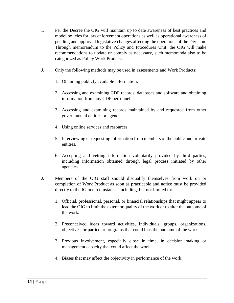- I. Per the Decree the OIG will maintain up to date awareness of best practices and model policies for law enforcement operations as well as operational awareness of pending and approved legislative changes affecting the operations of the Division. Through memorandum to the Policy and Procedures Unit, the OIG will make recommendations to update or comply as necessary, such memoranda also to be categorized as Policy Work Product.
- J. Only the following methods may be used in assessments and Work Products:
	- 1. Obtaining publicly available information.
	- 2. Accessing and examining CDP records, databases and software and obtaining information from any CDP personnel.
	- 3. Accessing and examining records maintained by and requested from other governmental entities or agencies.
	- 4. Using online services and resources.
	- 5. Interviewing or requesting information from members of the public and private entities.
	- 6. Accepting and vetting information voluntarily provided by third parties, including information obtained through legal process initiated by other agencies.
- J. Members of the OIG staff should disqualify themselves from work on or completion of Work Product as soon as practicable and notice must be provided directly to the IG in circumstances including, but not limited to:
	- 1. Official, professional, personal, or financial relationships that might appear to lead the OIG to limit the extent or quality of the work or to alter the outcome of the work.
	- 2. Preconceived ideas toward activities, individuals, groups, organizations, objectives, or particular programs that could bias the outcome of the work.
	- 3. Previous involvement, especially close in time, in decision making or management capacity that could affect the work.
	- 4. Biases that may affect the objectivity in performance of the work.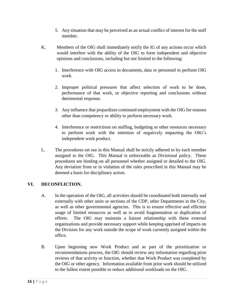- 5. Any situation that may be perceived as an actual conflict of interest for the staff member.
- K. Members of the OIG shall immediately notify the IG of any actions occur which would interfere with the ability of the OIG to form independent and objective opinions and conclusions, including but not limited to the following:
	- 1. Interference with OIG access to documents, data or personnel to perform OIG work.
	- 2. Improper political pressures that affect selection of work to be done, performance of that work, or objective reporting and conclusions without detrimental response.
	- 3. Any influence that jeopardizes continued employment with the OIG for reasons other than competency or ability to perform necessary work.
	- 4. Interference or restrictions on staffing, budgeting or other resources necessary to perform work with the intention of negatively impacting the OIG's independent work product.
- L. The procedures set out in this Manual shall be strictly adhered to by each member assigned to the OIG. This Manual is enforceable as Divisional policy. These procedures are binding on all personnel whether assigned or detailed to the OIG. Any deviation from or in violation of the rules prescribed in this Manual may be deemed a basis for disciplinary action.

# **VI. DECONFLICTION.**

- A. In the operation of the OIG, all activities should be coordinated both internally and externally with other units or sections of the CDP, other Departments in the City, as well as other governmental agencies. This is to ensure effective and efficient usage of limited resources as well as to avoid fragmentation or duplication of efforts. The OIG may maintain a liaison relationship with these external organizations and provide necessary support while keeping apprised of impacts on the Division for any work outside the scope of work currently assigned within the office.
- B. Upon beginning new Work Product and as part of the prioritization or recommendations process, the OIG should review any information regarding prior reviews of that activity or function, whether that Work Product was completed by the OIG or other agency. Information available from prior work should be utilized to the fullest extent possible to reduce additional workloads on the OIG.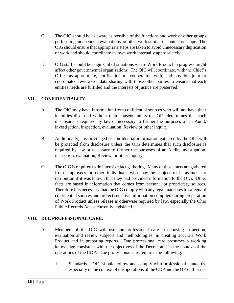- C. The OIG should be as aware as possible of the functions and work of other groups performing independent evaluations, or other work similar in content or scope. The OIG should ensure that appropriate steps are taken to avoid unnecessary duplication of work and should coordinate its own work internally appropriately.
- D. OIG staff should be cognizant of situations where Work Product in progress might affect other governmental organizations. The OIG will coordinate, with the Chief's Office as appropriate, notification to, cooperation with, and possible joint or coordinated reviews or data sharing with those other parties to ensure that each entities needs are fulfilled and the interests of justice are preserved.

## **VII. CONFIDENTIALITY.**

- A. The OIG may have information from confidential sources who will not have their identities disclosed without their consent unless the OIG determines that such disclosure is required by law or necessary to further the purposes of an Audit, investigation, inspection, evaluation, Review or other inquiry.
- B. Additionally, any privileged or confidential information gathered by the OIG will be protected from disclosure unless the OIG determines that such disclosure is required by law or necessary to further the purposes of an Audit, investigation, inspection, evaluation, Review, or other inquiry.
- C. The OIG is required to do intensive fact gathering. Many of those facts are gathered from employees or other individuals who may be subject to harassment or retribution if it was known that they had provided information to the OIG. Other facts are based in information that comes from personal or proprietary sources. Therefore it is necessary that the OIG comply with any legal mandates to safeguard confidential sources and protect sensitive information compiled during preparation of Work Product unless release is otherwise required by law, especially the Ohio Public Records Act as currently legislated.

#### **VIII. DUE PROFESSIONAL CARE.**

- A. Members of the OIG will use due professional care in choosing inspection, evaluation and review subjects and methodologies, in creating accurate Work Product and in preparing reports. Due professional care presumes a working knowledge consistent with the objectives of the Decree and in the context of the operations of the CDP. Due professional care requires the following:
	- 1. Standards OIG should follow and comply with professional standards, especially in the context of the operations of the CDP and the OPS. If issues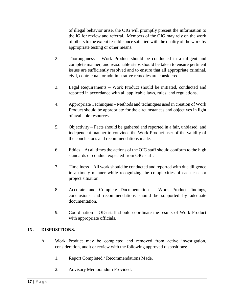of illegal behavior arise, the OIG will promptly present the information to the IG for review and referral. Members of the OIG may rely on the work of others to the extent feasible once satisfied with the quality of the work by appropriate testing or other means.

- 2. Thoroughness Work Product should be conducted in a diligent and complete manner, and reasonable steps should be taken to ensure pertinent issues are sufficiently resolved and to ensure that all appropriate criminal, civil, contractual, or administrative remedies are considered.
- 3. Legal Requirements Work Product should be initiated, conducted and reported in accordance with all applicable laws, rules, and regulations.
- 4. Appropriate Techniques Methods and techniques used in creation of Work Product should be appropriate for the circumstances and objectives in light of available resources.
- 5. Objectivity Facts should be gathered and reported in a fair, unbiased, and independent manner to convince the Work Product user of the validity of the conclusions and recommendations made.
- 6. Ethics At all times the actions of the OIG staff should conform to the high standards of conduct expected from OIG staff.
- 7. Timeliness All work should be conducted and reported with due diligence in a timely manner while recognizing the complexities of each case or project situation.
- 8. Accurate and Complete Documentation Work Product findings, conclusions and recommendations should be supported by adequate documentation.
- 9. Coordination OIG staff should coordinate the results of Work Product with appropriate officials.

#### **IX. DISPOSITIONS.**

- A. Work Product may be completed and removed from active investigation, consideration, audit or review with the following approved dispositions:
	- 1. Report Completed / Recommendations Made.
	- 2. Advisory Memorandum Provided.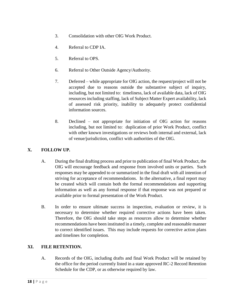- 3. Consolidation with other OIG Work Product.
- 4. Referral to CDP IA.
- 5. Referral to OPS.
- 6. Referral to Other Outside Agency/Authority.
- 7. Deferred while appropriate for OIG action, the request/project will not be accepted due to reasons outside the substantive subject of inquiry, including, but not limited to: timeliness, lack of available data, lack of OIG resources including staffing, lack of Subject Matter Expert availability, lack of assessed risk priority, inability to adequately protect confidential information sources.
- 8. Declined not appropriate for initiation of OIG action for reasons including, but not limited to: duplication of prior Work Product, conflict with other known investigations or reviews both internal and external, lack of venue/jurisdiction, conflict with authorities of the OIG.

#### **X. FOLLOW UP.**

- A. During the final drafting process and prior to publication of final Work Product, the OIG will encourage feedback and response from involved units or parties. Such responses may be appended to or summarized in the final draft with all intention of striving for acceptance of recommendations. In the alternative, a final report may be created which will contain both the formal recommendations and supporting information as well as any formal response if that response was not prepared or available prior to formal presentation of the Work Product.
- B. In order to ensure ultimate success in inspection, evaluation or review, it is necessary to determine whether required corrective actions have been taken. Therefore, the OIG should take steps as resources allow to determine whether recommendations have been instituted in a timely, complete and reasonable manner to correct identified issues. This may include requests for corrective action plans and timelines for completion.

#### **XI. FILE RETENTION.**

A. Records of the OIG, including drafts and final Work Product will be retained by the office for the period currently listed in a state approved RC-2 Record Retention Schedule for the CDP, or as otherwise required by law.